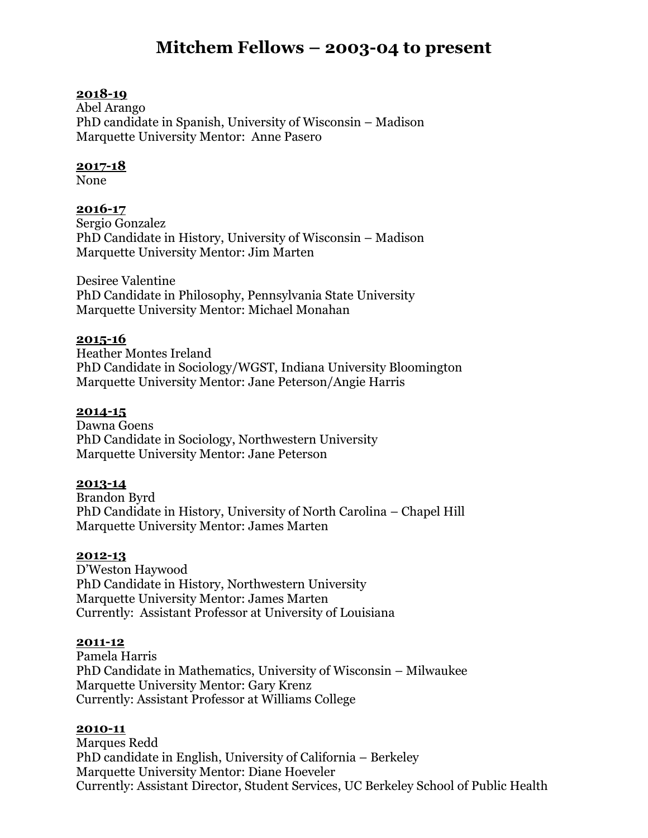# **Mitchem Fellows – 2003-04 to present**

# **2018-19**

Abel Arango PhD candidate in Spanish, University of Wisconsin – Madison Marquette University Mentor: Anne Pasero

# **2017-18**

None

# **2016-17**

Sergio Gonzalez PhD Candidate in History, University of Wisconsin – Madison Marquette University Mentor: Jim Marten

Desiree Valentine PhD Candidate in Philosophy, Pennsylvania State University Marquette University Mentor: Michael Monahan

## **2015-16**

Heather Montes Ireland PhD Candidate in Sociology/WGST, Indiana University Bloomington Marquette University Mentor: Jane Peterson/Angie Harris

## **2014-15**

Dawna Goens PhD Candidate in Sociology, Northwestern University Marquette University Mentor: Jane Peterson

#### **2013-14**

Brandon Byrd PhD Candidate in History, University of North Carolina – Chapel Hill Marquette University Mentor: James Marten

#### **2012-13**

D'Weston Haywood PhD Candidate in History, Northwestern University Marquette University Mentor: James Marten Currently: Assistant Professor at University of Louisiana

#### **2011-12**

Pamela Harris PhD Candidate in Mathematics, University of Wisconsin – Milwaukee Marquette University Mentor: Gary Krenz Currently: Assistant Professor at Williams College

#### **2010-11**

Marques Redd PhD candidate in English, University of California – Berkeley Marquette University Mentor: Diane Hoeveler Currently: Assistant Director, Student Services, UC Berkeley School of Public Health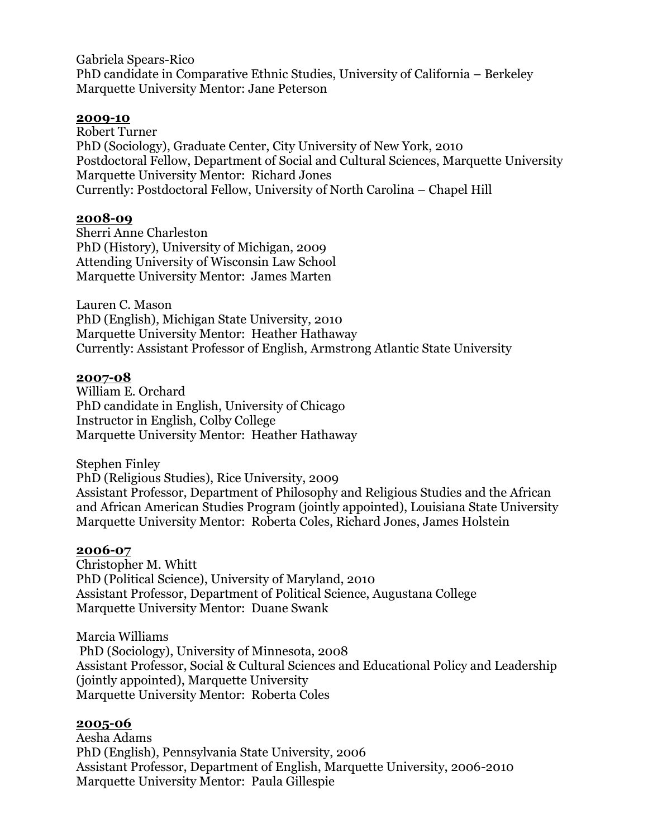Gabriela Spears-Rico PhD candidate in Comparative Ethnic Studies, University of California – Berkeley Marquette University Mentor: Jane Peterson

# **2009-10**

Robert Turner PhD (Sociology), Graduate Center, City University of New York, 2010 Postdoctoral Fellow, Department of Social and Cultural Sciences, Marquette University Marquette University Mentor: Richard Jones Currently: Postdoctoral Fellow, University of North Carolina – Chapel Hill

# **2008-09**

Sherri Anne Charleston PhD (History), University of Michigan, 2009 Attending University of Wisconsin Law School Marquette University Mentor: James Marten

Lauren C. Mason PhD (English), Michigan State University, 2010 Marquette University Mentor: Heather Hathaway Currently: Assistant Professor of English, Armstrong Atlantic State University

## **2007-08**

William E. Orchard PhD candidate in English, University of Chicago Instructor in English, Colby College Marquette University Mentor: Heather Hathaway

Stephen Finley PhD (Religious Studies), Rice University, 2009 Assistant Professor, Department of Philosophy and Religious Studies and the African and African American Studies Program (jointly appointed), Louisiana State University Marquette University Mentor: Roberta Coles, Richard Jones, James Holstein

#### **2006-07**

Christopher M. Whitt PhD (Political Science), University of Maryland, 2010 Assistant Professor, Department of Political Science, Augustana College Marquette University Mentor: Duane Swank

Marcia Williams PhD (Sociology), University of Minnesota, 2008 Assistant Professor, Social & Cultural Sciences and Educational Policy and Leadership (jointly appointed), Marquette University Marquette University Mentor: Roberta Coles

#### **2005-06**

Aesha Adams PhD (English), Pennsylvania State University, 2006 Assistant Professor, Department of English, Marquette University, 2006-2010 Marquette University Mentor: Paula Gillespie